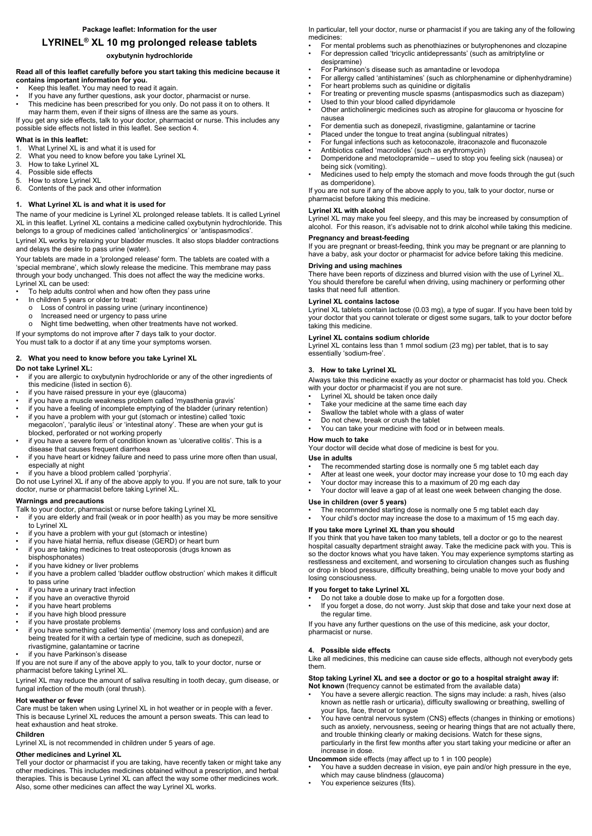# **LYRINEL® XL 10 mg prolonged release tablets**

# **oxybutynin hydrochloride**

### **Read all of this leaflet carefully before you start taking this medicine because it contains important information for you.**

- Keep this leaflet. You may need to read it again.
- If you have any further questions, ask your doctor, pharmacist or nurse.
- This medicine has been prescribed for you only. Do not pass it on to others. It may harm them, even if their signs of illness are the same as yours.

If you get any side effects, talk to your doctor, pharmacist or nurse. This includes any possible side effects not listed in this leaflet. See section 4.

## **What is in this leaflet:**

- 1. What Lyrinel XL is and what it is used for
- 2. What you need to know before you take Lyrinel XL
- 3. How to take Lyrinel XL
- 4. Possible side effects
- 5. How to store Lyrinel XL
- 6. Contents of the pack and other information

## **1. What Lyrinel XL is and what it is used for**

The name of your medicine is Lyrinel XL prolonged release tablets. It is called Lyrinel XL in this leaflet. Lyrinel XL contains a medicine called oxybutynin hydrochloride. This belongs to a group of medicines called 'anticholinergics' or 'antispasmodics'.

Lyrinel XL works by relaxing your bladder muscles. It also stops bladder contractions and delays the desire to pass urine (water).

Your tablets are made in a 'prolonged release' form. The tablets are coated with a 'special membrane', which slowly release the medicine. This membrane may pass through your body unchanged. This does not affect the way the medicine works. Lyrinel XL can be used:

- Talk to your doctor, pharmacist or nurse before taking Lyrinel XL
- if you are elderly and frail (weak or in poor health) as you may be more sensitive to Lyrinel XL
- if you have a problem with your gut (stomach or intestine)
- if you have hiatal hernia, reflux disease (GERD) or heart burn if you are taking medicines to treat osteoporosis (drugs known as bisphosphonates)
- if you have kidney or liver problems
- if you have a problem called 'bladder outflow obstruction' which makes it difficult to pass urine
- if you have a urinary tract infection
- if you have an overactive thyroid
- if you have heart problems
- if you have high blood pressure
- if you have prostate problems
- if you have something called 'dementia' (memory loss and confusion) and are
- To help adults control when and how often they pass urine
- In children 5 years or older to treat:
	- o Loss of control in passing urine (urinary incontinence)
	- o Increased need or urgency to pass urine
	- o Night time bedwetting, when other treatments have not worked.

If your symptoms do not improve after 7 days talk to your doctor.

You must talk to a doctor if at any time your symptoms worsen.

### **2. What you need to know before you take Lyrinel XL**

### **Do not take Lyrinel XL:**

- if you are allergic to oxybutynin hydrochloride or any of the other ingredients of this medicine (listed in section 6).
- if you have raised pressure in your eye (glaucoma)
- if you have a muscle weakness problem called 'myasthenia gravis'
- if you have a feeling of incomplete emptying of the bladder (urinary retention)
- if you have a problem with your gut (stomach or intestine) called 'toxic megacolon', 'paralytic ileus' or 'intestinal atony'. These are when your gut is blocked, perforated or not working properly
- if you have a severe form of condition known as 'ulcerative colitis'. This is a disease that causes frequent diarrhoea
- if you have heart or kidney failure and need to pass urine more often than usual, especially at night
- if you have a blood problem called 'porphyria'.

Do not use Lyrinel XL if any of the above apply to you. If you are not sure, talk to your doctor, nurse or pharmacist before taking Lyrinel XL.

# **Warnings and precautions**

- Lyrinel XL should be taken once daily
- Take your medicine at the same time each day
- Swallow the tablet whole with a glass of water
- Do not chew, break or crush the tablet
- You can take your medicine with food or in between meals.

being treated for it with a certain type of medicine, such as donepezil, rivastigmine, galantamine or tacrine

if you have Parkinson's disease

- The recommended starting dose is normally one 5 mg tablet each day
- After at least one week, your doctor may increase your dose to 10 mg each day
- Your doctor may increase this to a maximum of 20 mg each day
- Your doctor will leave a gap of at least one week between changing the dose.

If you are not sure if any of the above apply to you, talk to your doctor, nurse or pharmacist before taking Lyrinel XL.

- The recommended starting dose is normally one 5 mg tablet each day
- Your child's doctor may increase the dose to a maximum of 15 mg each day.

Lyrinel XL may reduce the amount of saliva resulting in tooth decay, gum disease, or fungal infection of the mouth (oral thrush).

### **Hot weather or fever**

Care must be taken when using Lyrinel XL in hot weather or in people with a fever. This is because Lyrinel XL reduces the amount a person sweats. This can lead to heat exhaustion and heat stroke.

## **Children**

Lyrinel XL is not recommended in children under 5 years of age.

# **Other medicines and Lyrinel XL**

Tell your doctor or pharmacist if you are taking, have recently taken or might take any other medicines. This includes medicines obtained without a prescription, and herbal therapies. This is because Lyrinel XL can affect the way some other medicines work. Also, some other medicines can affect the way Lyrinel XL works.

- You have a sudden decrease in vision, eye pain and/or high pressure in the eye, which may cause blindness (glaucoma)
- You experience seizures (fits).

In particular, tell your doctor, nurse or pharmacist if you are taking any of the following medicines:

- For mental problems such as phenothiazines or butyrophenones and clozapine
- For depression called 'tricyclic antidepressants' (such as amitriptyline or desipramine)
- For Parkinson's disease such as amantadine or levodopa
- For allergy called 'antihistamines' (such as chlorphenamine or diphenhydramine)
- For heart problems such as quinidine or digitalis
- For treating or preventing muscle spasms (antispasmodics such as diazepam)
- Used to thin your blood called dipyridamole
- Other anticholinergic medicines such as atropine for glaucoma or hyoscine for nausea
- For dementia such as donepezil, rivastigmine, galantamine or tacrine
- Placed under the tongue to treat angina (sublingual nitrates)
- For fungal infections such as ketoconazole, itraconazole and fluconazole
- Antibiotics called 'macrolides' (such as erythromycin)
- Domperidone and metoclopramide used to stop you feeling sick (nausea) or being sick (vomiting).
- Medicines used to help empty the stomach and move foods through the gut (such as domperidone).

If you are not sure if any of the above apply to you, talk to your doctor, nurse or pharmacist before taking this medicine.

### **Lyrinel XL with alcohol**

Lyrinel XL may make you feel sleepy, and this may be increased by consumption of alcohol. For this reason, it's advisable not to drink alcohol while taking this medicine.

### **Pregnancy and breast-feeding**

If you are pregnant or breast-feeding, think you may be pregnant or are planning to have a baby, ask your doctor or pharmacist for advice before taking this medicine.

### **Driving and using machines**

There have been reports of dizziness and blurred vision with the use of Lyrinel XL. You should therefore be careful when driving, using machinery or performing other tasks that need full attention.

### **Lyrinel XL contains lactose**

Lyrinel XL tablets contain lactose (0.03 mg), a type of sugar. If you have been told by your doctor that you cannot tolerate or digest some sugars, talk to your doctor before taking this medicine.

### **Lyrinel XL contains sodium chloride**

Lyrinel XL contains less than 1 mmol sodium (23 mg) per tablet, that is to say essentially 'sodium-free'.

# **3. How to take Lyrinel XL**

Always take this medicine exactly as your doctor or pharmacist has told you. Check with your doctor or pharmacist if you are not sure.

### **How much to take**

Your doctor will decide what dose of medicine is best for you.

### **Use in adults**

### **Use in children (over 5 years)**

# **If you take more Lyrinel XL than you should**

If you think that you have taken too many tablets, tell a doctor or go to the nearest hospital casualty department straight away. Take the medicine pack with you. This is so the doctor knows what you have taken. You may experience symptoms starting as restlessness and excitement, and worsening to circulation changes such as flushing or drop in blood pressure, difficulty breathing, being unable to move your body and losing consciousness.

# **If you forget to take Lyrinel XL**

- Do not take a double dose to make up for a forgotten dose.
- If you forget a dose, do not worry. Just skip that dose and take your next dose at the regular time.

If you have any further questions on the use of this medicine, ask your doctor,

pharmacist or nurse.

## **4. Possible side effects**

Like all medicines, this medicine can cause side effects, although not everybody gets them.

### **Stop taking Lyrinel XL and see a doctor or go to a hospital straight away if: Not known** (frequency cannot be estimated from the available data)

- You have a severe allergic reaction. The signs may include: a rash, hives (also known as nettle rash or urticaria), difficulty swallowing or breathing, swelling of your lips, face, throat or tongue
- You have central nervous system (CNS) effects (changes in thinking or emotions) such as anxiety, nervousness, seeing or hearing things that are not actually there, and trouble thinking clearly or making decisions. Watch for these signs, particularly in the first few months after you start taking your medicine or after an increase in dose.

**Uncommon** side effects (may affect up to 1 in 100 people)